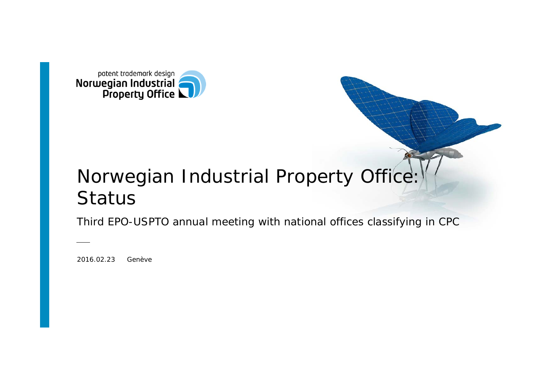

# Norwegian Industrial Property Office: Status

Third EPO-USPTO annual meeting with national offices classifying in CPC

2016.02.23 Genève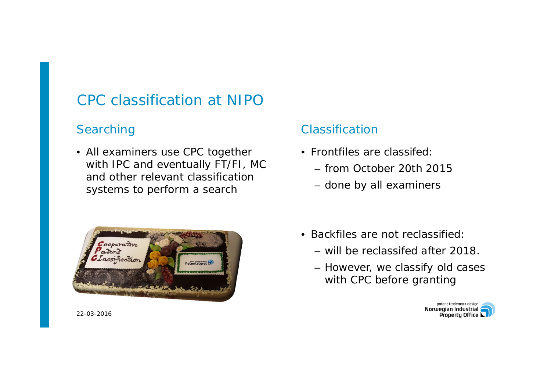## CPC classification at NIPO

#### **Searching**

• All examiners use CPC together with IPC and eventually FT/FI, MC and other relevant classificationsystems to perform a search



#### 22-03-2016

#### Classification

- Frontfiles are classifed:
	- from October 20th 2015
	- done by all examiners
- Backfiles are not reclassified:
	- will be reclassifed after 2018.
	- However, we classify old cases with CPC before granting

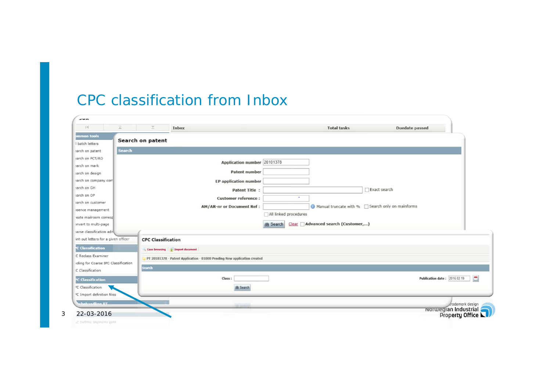### CPC classification from Inbox

| 14<br>运                                | ×<br>Inbox                        |                                                                          | <b>Total tasks</b>                                  | Duedate passed               |
|----------------------------------------|-----------------------------------|--------------------------------------------------------------------------|-----------------------------------------------------|------------------------------|
| mmon tools<br>I batch letters          | Search on patent                  |                                                                          |                                                     |                              |
| Search<br>sarch on patent              |                                   |                                                                          |                                                     |                              |
| sarch on PCT/RO                        |                                   |                                                                          |                                                     |                              |
| sarch on mark                          |                                   | Application number 20101378                                              |                                                     |                              |
| sarch on design                        |                                   | Patent number                                                            |                                                     |                              |
| sarch on company com                   |                                   | <b>EP</b> application number                                             |                                                     |                              |
| sarch on GH                            |                                   | <b>Patent Title:</b>                                                     |                                                     | Exact search                 |
| sarch on OP                            |                                   | <b>Customer reference:</b>                                               | ÷                                                   |                              |
| sarch on customer                      |                                   | AM/AR-nr or Document Ref :                                               | ● Manual truncate with % □ Search only on mainforms |                              |
| isence management                      |                                   |                                                                          |                                                     |                              |
| eate mailroom corresol                 |                                   | All linked procedures                                                    |                                                     |                              |
| invert to multi-page                   |                                   | <b>曲 Search</b>                                                          | Clear Advanced search (Customer,)                   |                              |
| arse classification adm                |                                   |                                                                          |                                                     |                              |
| int-out letters for a given officer    | <b>CPC Classification</b>         |                                                                          |                                                     |                              |
| <b>C</b> Classification                | Case browsing     Import document |                                                                          |                                                     |                              |
| C Reclass Examiner                     |                                   | PT 20101378 - Patent Application - 01000 Pending New application created |                                                     |                              |
| oling for Coarse IPC Classification    |                                   |                                                                          |                                                     |                              |
| C Classification                       | Search                            |                                                                          |                                                     |                              |
| <b>C</b> Classification                |                                   | Class:                                                                   |                                                     | Publication date: 2016.02.19 |
| <sup>3</sup> C Classification          |                                   | <b>曲 Search</b>                                                          |                                                     |                              |
| <sup>3</sup> C Import definition files |                                   |                                                                          |                                                     |                              |
| <b>Schehandling PT</b>                 |                                   |                                                                          |                                                     | crademark design             |
|                                        |                                   |                                                                          |                                                     | <b>Norwegian Industrial</b>  |
| 22-03-2016                             |                                   |                                                                          |                                                     | Property Office LU           |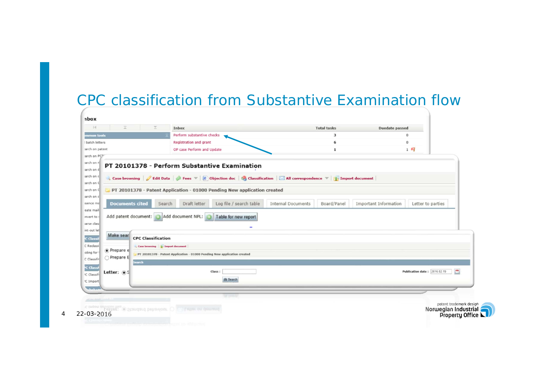#### CPC classification from Substantive Examination flow

| mmon tools                             |                        |                                                                                                               | Perform substantive checks                                                                                                                                                                                     | 3                                        |  |                       | $\mathbf{0}$                      |  |
|----------------------------------------|------------------------|---------------------------------------------------------------------------------------------------------------|----------------------------------------------------------------------------------------------------------------------------------------------------------------------------------------------------------------|------------------------------------------|--|-----------------------|-----------------------------------|--|
| batch letters                          |                        |                                                                                                               | Registration and grant                                                                                                                                                                                         |                                          |  |                       | $\theta$                          |  |
| arch on patent                         |                        |                                                                                                               | OP case Perform and Update                                                                                                                                                                                     | 1                                        |  | $1 - 4$               |                                   |  |
| arch on PCT                            |                        |                                                                                                               |                                                                                                                                                                                                                |                                          |  |                       |                                   |  |
| sarch on n                             |                        |                                                                                                               | PT 20101378 - Perform Substantive Examination                                                                                                                                                                  |                                          |  |                       |                                   |  |
| arch on d                              |                        |                                                                                                               |                                                                                                                                                                                                                |                                          |  |                       |                                   |  |
| sarch on c                             |                        |                                                                                                               | Case browsing ( $\mathscr G$ Edit Data ( $\mathscr G$ Fees $\mathbb v$ $[$ $\mathscr B$ ) Objection doc $[$ $\mathscr G$ Classification $\Box$ All correspondence $\mathbb v$ $[$ $\mathscr G$ Import document |                                          |  |                       |                                   |  |
| sarch on (                             |                        |                                                                                                               |                                                                                                                                                                                                                |                                          |  |                       |                                   |  |
| sarch on C                             |                        |                                                                                                               | PT 20101378 - Patent Application - 01000 Pending New application created                                                                                                                                       |                                          |  |                       |                                   |  |
| arch on c                              |                        |                                                                                                               |                                                                                                                                                                                                                |                                          |  |                       |                                   |  |
| isence mal<br>eate mail                | <b>Documents cited</b> | Search                                                                                                        | Draft letter<br>Log file / search table                                                                                                                                                                        | <b>Internal Documents</b><br>Board/Panel |  | Important Information | Letter to parties                 |  |
| mvert to                               |                        |                                                                                                               | Add patent document: a Add document NPL:<br>Table for new report                                                                                                                                               |                                          |  |                       |                                   |  |
| arse clas:                             |                        |                                                                                                               |                                                                                                                                                                                                                |                                          |  |                       |                                   |  |
| int-out let                            |                        |                                                                                                               | ۰                                                                                                                                                                                                              |                                          |  |                       |                                   |  |
| C Classi                               | Make sear              | <b>CPC Classification</b>                                                                                     |                                                                                                                                                                                                                |                                          |  |                       |                                   |  |
| C Reclass                              |                        |                                                                                                               |                                                                                                                                                                                                                |                                          |  |                       |                                   |  |
| oling for                              | Trepare e              | Case browsing     Import document<br>PT 20101378 - Patent Application - 01000 Pending New application created |                                                                                                                                                                                                                |                                          |  |                       |                                   |  |
| C Classific                            | $\bigcap$ Prepare E    |                                                                                                               |                                                                                                                                                                                                                |                                          |  |                       |                                   |  |
| <b>C</b> Classi                        |                        | Search                                                                                                        |                                                                                                                                                                                                                |                                          |  |                       |                                   |  |
| C Classifi                             | Letter: $\circ$ S      |                                                                                                               | Class:                                                                                                                                                                                                         |                                          |  |                       | 罒<br>Publication date: 2016.02.19 |  |
| <sup>I</sup> C Import                  |                        |                                                                                                               | dh Search                                                                                                                                                                                                      |                                          |  |                       |                                   |  |
| <b><i><u><u>Literature</u></u></i></b> |                        |                                                                                                               |                                                                                                                                                                                                                |                                          |  |                       |                                   |  |
|                                        |                        |                                                                                                               |                                                                                                                                                                                                                |                                          |  |                       |                                   |  |
|                                        |                        |                                                                                                               |                                                                                                                                                                                                                |                                          |  |                       | patent trademark design           |  |

4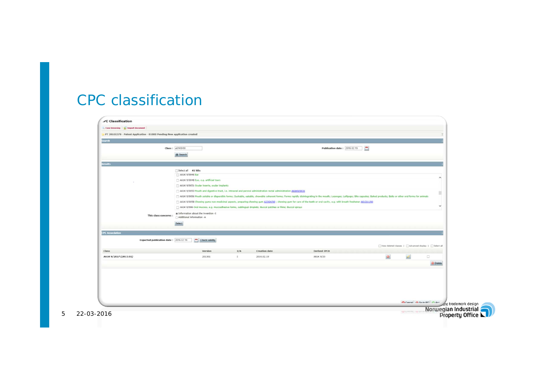#### CPC classification

|                        | PT 20101378 - Patent Application - 01000 Pending New application created |                                                                                                                                                      |       |                      |                                                                                                                                                                                                                                |                                                      |              |               |
|------------------------|--------------------------------------------------------------------------|------------------------------------------------------------------------------------------------------------------------------------------------------|-------|----------------------|--------------------------------------------------------------------------------------------------------------------------------------------------------------------------------------------------------------------------------|------------------------------------------------------|--------------|---------------|
| Search                 |                                                                          |                                                                                                                                                      |       |                      |                                                                                                                                                                                                                                |                                                      |              |               |
|                        |                                                                          | Class: a61K9/00                                                                                                                                      |       |                      | Publication date: 2016 02:19                                                                                                                                                                                                   | - 2                                                  |              |               |
|                        |                                                                          | <b>B</b> Search                                                                                                                                      |       |                      |                                                                                                                                                                                                                                |                                                      |              |               |
|                        |                                                                          |                                                                                                                                                      |       |                      |                                                                                                                                                                                                                                |                                                      |              |               |
| <b>Results</b>         |                                                                          |                                                                                                                                                      |       |                      |                                                                                                                                                                                                                                |                                                      |              |               |
|                        |                                                                          | Select all 41 hits<br>A61K 9/0046 Ear                                                                                                                |       |                      |                                                                                                                                                                                                                                |                                                      |              |               |
|                        |                                                                          | A61K 9/0048 Eye, e.g. artificial tears                                                                                                               |       |                      |                                                                                                                                                                                                                                |                                                      |              | $\sim$        |
|                        |                                                                          | A61K 9/0051 Ocular inserts, ocular implants                                                                                                          |       |                      |                                                                                                                                                                                                                                |                                                      |              |               |
|                        |                                                                          | A61K 9/0053 Mouth and digestive tract, i.e. intraoral and peroral administration rectal administration A61K9/0031                                    |       |                      |                                                                                                                                                                                                                                |                                                      |              |               |
|                        |                                                                          |                                                                                                                                                      |       |                      | [1] A61K 9/0056 Mouth soluble or dispersible forms; Suckable, eatable, chewable coherent forms; Forms rapidly disintegrating in the mouth; Lozenges; Lollipops; Bite capsules; Baked products; Baks or other oral forms for an |                                                      |              |               |
|                        |                                                                          |                                                                                                                                                      |       |                      | [1] A61K 9/0058 Chewing gums non-medicinal aspects, preparing chewing gum 32364/50 ; chewing gum for care of the teeth or oral cavity, e.g. with breath freshener A61011/00                                                    |                                                      |              | v             |
|                        |                                                                          | A61K 9/006 Oral mucosa, e.g. mucoadhesive forms, sublingual droplets; Buccal patches or films; Buccal sprays<br>@ Information about the invention -I |       |                      |                                                                                                                                                                                                                                |                                                      |              |               |
|                        | This class concerns :                                                    | Additional information -A                                                                                                                            |       |                      |                                                                                                                                                                                                                                |                                                      |              |               |
|                        |                                                                          | Select                                                                                                                                               |       |                      |                                                                                                                                                                                                                                |                                                      |              |               |
|                        |                                                                          |                                                                                                                                                      |       |                      |                                                                                                                                                                                                                                |                                                      |              |               |
| <b>CPC Association</b> |                                                                          |                                                                                                                                                      |       |                      |                                                                                                                                                                                                                                |                                                      |              |               |
|                        | Expected publication date: 2016 02:19                                    | Check validity                                                                                                                                       |       |                      |                                                                                                                                                                                                                                |                                                      |              |               |
| <b>Class</b>           |                                                                          | Version                                                                                                                                              | I/A   | <b>Creation</b> date | Derived IPCS                                                                                                                                                                                                                   | View deleted classes   Advanced display   Select all |              |               |
| A61K 9/2027 (2013.01)  |                                                                          | 201301                                                                                                                                               | $\pm$ | 2016.02.19           | A61K 9/20                                                                                                                                                                                                                      | $\mathbf{R}$                                         | $\mathbb{Z}$ | 0             |
|                        |                                                                          |                                                                                                                                                      |       |                      |                                                                                                                                                                                                                                |                                                      |              | <b>Delete</b> |
|                        |                                                                          |                                                                                                                                                      |       |                      |                                                                                                                                                                                                                                |                                                      |              |               |
|                        |                                                                          |                                                                                                                                                      |       |                      |                                                                                                                                                                                                                                |                                                      |              |               |
|                        |                                                                          |                                                                                                                                                      |       |                      |                                                                                                                                                                                                                                |                                                      |              |               |
|                        |                                                                          |                                                                                                                                                      |       |                      |                                                                                                                                                                                                                                |                                                      |              |               |
|                        |                                                                          |                                                                                                                                                      |       |                      |                                                                                                                                                                                                                                |                                                      |              |               |
|                        |                                                                          |                                                                                                                                                      |       |                      |                                                                                                                                                                                                                                |                                                      |              |               |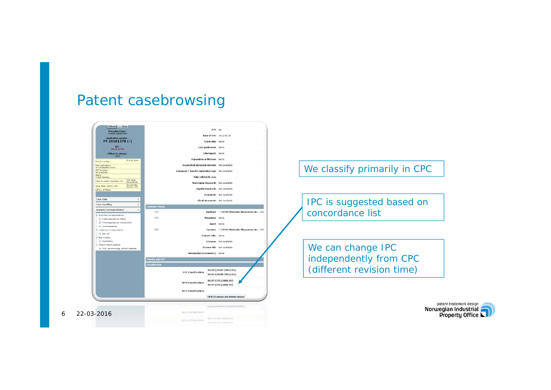## Patent casebrowsing



We classify primarily in CPC

IPC is suggested based on concordance list

We can change IPC independently from CPC (different revision time)

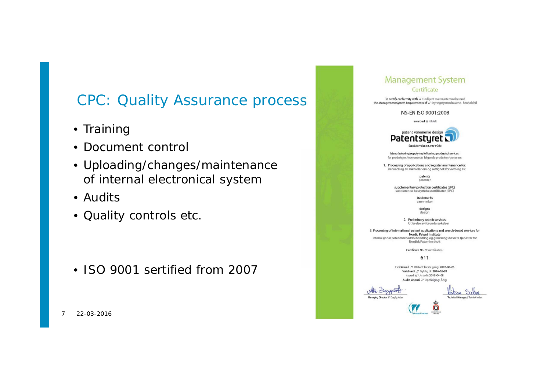## CPC: Quality Assurance process

- Training
- Document control
- Uploading/changes/maintenance of internal electronical system
- Audits
- Quality controls etc.

• ISO 9001 sertified from 2007

| iadement Sys                                                                                                                                                                            |
|-----------------------------------------------------------------------------------------------------------------------------------------------------------------------------------------|
| Certificate                                                                                                                                                                             |
| To certify conformity with // Godkjent overensstemmelse med<br>the Management System Requirements of // Styringssystemkravene i henhold til                                             |
| NS-EN ISO 9001:2008                                                                                                                                                                     |
| awarded // tildelt                                                                                                                                                                      |
| patent varemerke design<br>Patentstyret<br>Sandakerveien 64, 0484 Oslo                                                                                                                  |
|                                                                                                                                                                                         |
| Manufacturing/supplying following products/services:<br>for produksjon/leveranse av følgende produkter/tjenester:                                                                       |
| 1. Processing of applications and register maintenance for:<br>Behandling av søknader om og rettighetsforvaltning av:                                                                   |
| patents<br>patenter                                                                                                                                                                     |
| supplementary protection certificates (SPC)<br>supplerende beskyttelsessertifikater (SPC)                                                                                               |
| trademarks<br>varemerker                                                                                                                                                                |
|                                                                                                                                                                                         |
| designs<br>design                                                                                                                                                                       |
| 2. Preliminary search services<br>Utførelse av forundersøkelser                                                                                                                         |
| 3. Processing of international patent applications and search-based services for<br>Nordic Patent Institute<br>Internasjonal patentsøknadsbehandling og granskingsbaserte tjenester for |
| Nordisk Patentinstitutt                                                                                                                                                                 |
| Certificate No // Sertifikat nr.:                                                                                                                                                       |
| 611                                                                                                                                                                                     |
| First issued // Utstedt første gang: 2007-06-28<br>Valid until // Gyldig til: 2016-06-28<br>Issued // Utstedt: 2013-04-05                                                               |
| Audit: Annual // Oppfølging: Årlig                                                                                                                                                      |
|                                                                                                                                                                                         |
| Managing Director // Daglig leder<br>Technical Manager// Teknisk leder                                                                                                                  |
|                                                                                                                                                                                         |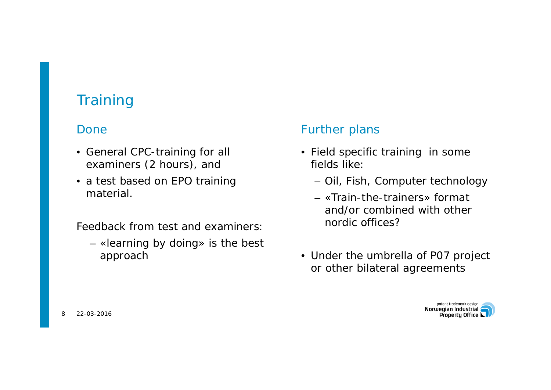## **Training**

#### Done

- General CPC-training for all examiners (2 hours), and
- a test based on EPO training material.

Feedback from test and examiners:

– «learning by doing» is the best approach

#### Further plans

- Field specific training in some fields like:
	- Oil, Fish, Computer technology
	- «Train-the-trainers» format and/or combined with othernordic offices?
- Under the umbrella of P07 project or other bilateral agreements

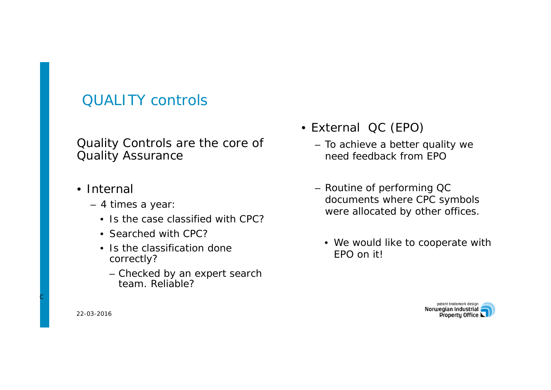## QUALITY controls

#### Quality Controls are the core of Quality Assurance

- Internal
	- 4 times a year:
		- Is the case classified with CPC?
		- Searched with CPC?
		- Is the classification done correctly?
			- Checked by an expert search team. Reliable?
- External QC (EPO)
	- To achieve a better quality we need feedback from EPO
	- Routine of performing QC documents where CPC symbols were allocated by other offices.
		- We would like to cooperate with EPO on it!



22-03-2016

C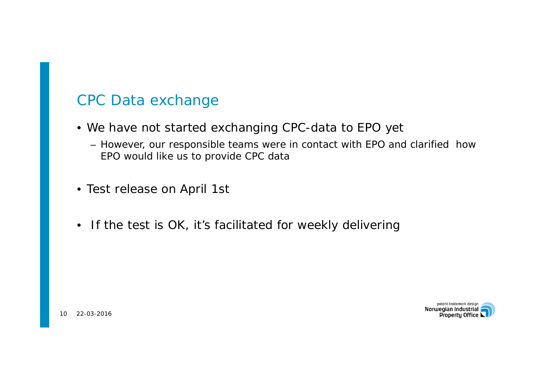## CPC Data exchange

- We have not started exchanging CPC-data to EPO yet
	- However, our responsible teams were in contact with EPO and clarified how EPO would like us to provide CPC data
- Test release on April 1st
- If the test is OK, it's facilitated for weekly delivering